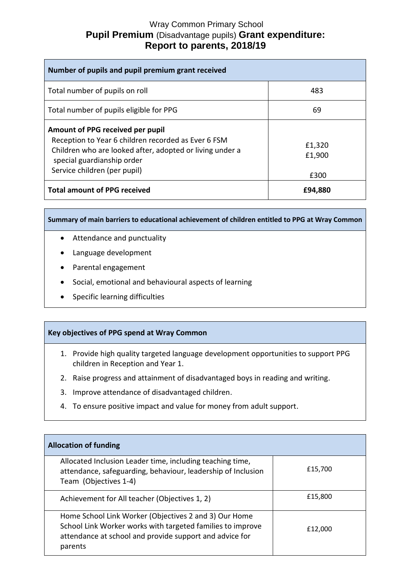## Wray Common Primary School **Pupil Premium** (Disadvantage pupils) **Grant expenditure: Report to parents, 2018/19**

| Number of pupils and pupil premium grant received                                                                                                                                                                 |                          |
|-------------------------------------------------------------------------------------------------------------------------------------------------------------------------------------------------------------------|--------------------------|
| Total number of pupils on roll                                                                                                                                                                                    | 483                      |
| Total number of pupils eligible for PPG                                                                                                                                                                           | 69                       |
| Amount of PPG received per pupil<br>Reception to Year 6 children recorded as Ever 6 FSM<br>Children who are looked after, adopted or living under a<br>special guardianship order<br>Service children (per pupil) | £1,320<br>£1,900<br>£300 |
| <b>Total amount of PPG received</b>                                                                                                                                                                               | £94,880                  |

**Summary of main barriers to educational achievement of children entitled to PPG at Wray Common**

- Attendance and punctuality
- Language development
- Parental engagement
- Social, emotional and behavioural aspects of learning
- Specific learning difficulties

## **Key objectives of PPG spend at Wray Common**

- 1. Provide high quality targeted language development opportunities to support PPG children in Reception and Year 1.
- 2. Raise progress and attainment of disadvantaged boys in reading and writing.
- 3. Improve attendance of disadvantaged children.
- 4. To ensure positive impact and value for money from adult support.

| <b>Allocation of funding</b>                                                                                                                                                              |         |
|-------------------------------------------------------------------------------------------------------------------------------------------------------------------------------------------|---------|
| Allocated Inclusion Leader time, including teaching time,<br>attendance, safeguarding, behaviour, leadership of Inclusion<br>Team (Objectives 1-4)                                        | £15,700 |
| Achievement for All teacher (Objectives 1, 2)                                                                                                                                             | £15,800 |
| Home School Link Worker (Objectives 2 and 3) Our Home<br>School Link Worker works with targeted families to improve<br>attendance at school and provide support and advice for<br>parents | £12,000 |